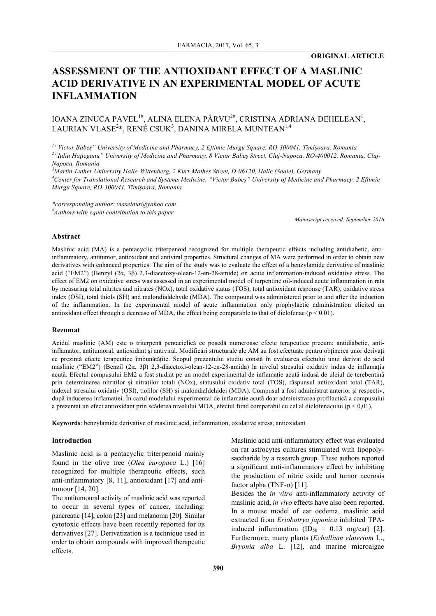# **ASSESSMENT OF THE ANTIOXIDANT EFFECT OF A MASLINIC ACID DERIVATIVE IN AN EXPERIMENTAL MODEL OF ACUTE INFLAMMATION**

# IOANA ZINUCA PAVEL<sup>1#</sup>, ALINA ELENA PÂRVU<sup>2#</sup>, CRISTINA ADRIANA DEHELEAN<sup>1</sup>, LAURIAN VLASE $^{2\ast}$ , RENÉ CSUK $^{3}$ , DANINA MIRELA MUNTEAN $^{1,4}$

*1 "Victor Babeș" University of Medicine and Pharmacy, 2 Eftimie Murgu Square, RO-300041, Timișoara, Romania 2 "Iuliu Haţieganu" University of Medicine and Pharmacy, 8 Victor Babeş Street, Cluj-Napoca, RO-400012, Romania, Cluj-Napoca, Romania*

*3 Martin-Luther University Halle-Wittenberg, 2 Kurt-Mothes Street, D-06120, Halle (Saale), Germany 4 Center for Translational Research and Systems Medicine, "Victor Babeș" University of Medicine and Pharmacy, 2 Eftimie Murgu Square, RO-300041, Timișoara, Romania*

*\*corresponding author: vlaselaur@yahoo.com # Authors with equal contribution to this paper*

*Manuscript received: September 2016*

# **Abstract**

Maslinic acid (MA) is a pentacyclic triterpenoid recognized for multiple therapeutic effects including antidiabetic, antiinflammatory, antitumor, antioxidant and antiviral properties. Structural changes of MA were performed in order to obtain new derivatives with enhanced properties. The aim of the study was to evaluate the effect of a benzylamide derivative of maslinic acid ("EM2") (Benzyl (2α, 3β) 2,3-diacetoxy-olean-12-en-28-amide) on acute inflammation-induced oxidative stress. The effect of EM2 on oxidative stress was assessed in an experimental model of turpentine oil-induced acute inflammation in rats by measuring total nitrites and nitrates (NOx), total oxidative status (TOS), total antioxidant response (TAR), oxidative stress index (OSI), total thiols (SH) and malondialdehyde (MDA). The compound was administered prior to and after the induction of the inflammation. In the experimental model of acute inflammation only prophylactic administration elicited an antioxidant effect through a decrease of MDA, the effect being comparable to that of diclofenac ( $p < 0.01$ ).

#### **Rezumat**

Acidul maslinic (AM) este o triterpenă pentaciclică ce posedă numeroase efecte terapeutice precum: antidiabetic, antiinflamator, antitumoral, antioxidant și antiviral. Modificări structurale ale AM au fost efectuate pentru obținerea unor derivați ce prezintă efecte terapeutice îmbunătățite. Scopul prezentului studiu constă în evaluarea efectului unui derivat de acid maslinic ("EM2") (Benzil (2α, 3β) 2,3-diacetoxi-olean-12-en-28-amida) la nivelul stresului oxidativ indus de inflamația acută. Efectul compusului EM2 a fost studiat pe un model experimental de inflamație acută indusă de uleiul de terebentină prin determinarea nitriților și nitraților totali (NOx), statusului oxidativ total (TOS), răspunsul antioxidant total (TAR), indexul stresului oxidativ (OSI), tiolilor (SH) și malondialdehidei (MDA). Compusul a fost administrat anterior și respectiv, după inducerea inflamației. În cazul modelului experimental de inflamație acută doar administrarea profilactică a compusului a prezentat un efect antioxidant prin scăderea nivelului MDA, efectul fiind comparabil cu cel al diclofenacului ( $p < 0.01$ ).

**Keywords**: benzylamide derivative of maslinic acid, inflammation, oxidative stress, antioxidant

#### **Introduction**

Maslinic acid is a pentacyclic triterpenoid mainly found in the olive tree (*Olea europaea* L.) [16] recognized for multiple therapeutic effects, such anti-inflammatory [8, 11], antioxidant [17] and antitumour [14, 20].

The antitumoural activity of maslinic acid was reported to occur in several types of cancer, including: pancreatic [14], colon [23] and melanoma [20]. Similar cytotoxic effects have been recently reported for its derivatives [27]. Derivatization is a technique used in order to obtain compounds with improved therapeutic effects.

Maslinic acid anti-inflammatory effect was evaluated on rat astrocytes cultures stimulated with lipopolysaccharide by a research group. These authors reported a significant anti-inflammatory effect by inhibiting the production of nitric oxide and tumor necrosis factor alpha (TNF- $\alpha$ ) [11].

Besides the *in vitro* anti-inflammatory activity of maslinic acid, *in vivo* effects have also been reported. In a mouse model of ear oedema, maslinic acid extracted from *Eriobotrya japonica* inhibited TPAinduced inflammation  $(ID_{50} = 0.13$  mg/ear) [2]. Furthermore, many plants (*Ecballium elaterium* L., *Bryonia alba* L. [12], and marine microalgae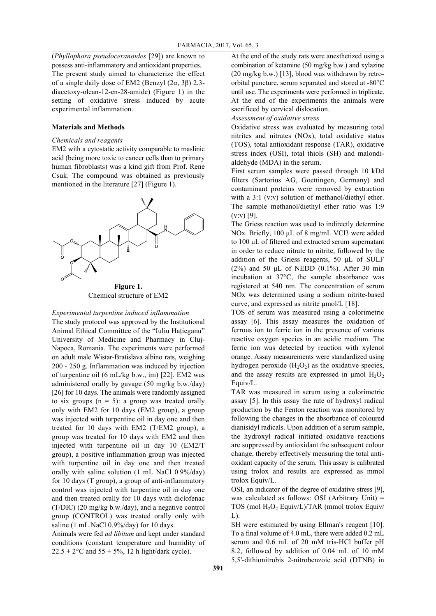(*Phyllophora pseudoceranoides* [29]) are known to possess anti-inflammatory and antioxidant properties. The present study aimed to characterize the effect of a single daily dose of EM2 (Benzyl (2α, 3β) 2,3 diacetoxy-olean-12-en-28-amide) (Figure 1) in the setting of oxidative stress induced by acute experimental inflammation.

### **Materials and Methods**

# *Chemicals and reagents*

EM2 with a cytostatic activity comparable to maslinic acid (being more toxic to cancer cells than to primary human fibroblasts) was a kind gift from Prof. Rene Csuk. The compound was obtained as previously mentioned in the literature [27] (Figure 1).



Chemical structure of EM2

#### *Experimental turpentine induced inflammation*

The study protocol was approved by the Institutional Animal Ethical Committee of the "Iuliu Hațieganu" University of Medicine and Pharmacy in Cluj-Napoca, Romania. The experiments were performed on adult male Wistar-Bratislava albino rats, weighing 200 - 250 g. Inflammation was induced by injection of turpentine oil (6 mL/kg b.w., im) [22]. EM2 was administered orally by gavage (50 mg/kg b.w./day) [26] for 10 days. The animals were randomly assigned to six groups  $(n = 5)$ : a group was treated orally only with EM2 for 10 days (EM2 group), a group was injected with turpentine oil in day one and then treated for 10 days with EM2 (T/EM2 group), a group was treated for 10 days with EM2 and then injected with turpentine oil in day 10 (EM2/T group), a positive inflammation group was injected with turpentine oil in day one and then treated orally with saline solution (1 mL NaCl 0.9%/day) for 10 days (T group), a group of anti-inflammatory control was injected with turpentine oil in day one and then treated orally for 10 days with diclofenac (T/DIC) (20 mg/kg b.w./day), and a negative control group (CONTROL) was treated orally only with saline (1 mL NaCl 0.9%/day) for 10 days.

Animals were fed *ad libitum* and kept under standard conditions (constant temperature and humidity of  $22.5 \pm 2$ °C and  $55 + 5%$ , 12 h light/dark cycle).

At the end of the study rats were anesthetized using a combination of ketamine (50 mg/kg b.w.) and xylazine (20 mg/kg b.w.) [13], blood was withdrawn by retroorbital puncture, serum separated and stored at -80°C until use. The experiments were performed in triplicate. At the end of the experiments the animals were sacrificed by cervical dislocation.

*Assessment of oxidative stress*

Oxidative stress was evaluated by measuring total nitrites and nitrates (NOx), total oxidative status (TOS), total antioxidant response (TAR), oxidative stress index (OSI), total thiols (SH) and malondialdehyde (MDA) in the serum.

First serum samples were passed through 10 kDd filters (Sartorius AG, Goettingen, Germany) and contaminant proteins were removed by extraction with a 3:1 (v:v) solution of methanol/diethyl ether. The sample methanol/diethyl ether ratio was 1:9  $(v: v)$  [9].

The Griess reaction was used to indirectly determine NOx. Briefly, 100 μL of 8 mg/mL VCl3 were added to 100 µL of filtered and extracted serum supernatant in order to reduce nitrate to nitrite, followed by the addition of the Griess reagents, 50 µL of SULF (2%) and 50  $\mu$ L of NEDD (0.1%). After 30 min incubation at 37°C, the sample absorbance was registered at 540 nm. The concentration of serum NOx was determined using a sodium nitrite-based curve, and expressed as nitrite  $\mu$ mol/L [18].

TOS of serum was measured using a colorimetric assay [6]. This assay measures the oxidation of ferrous ion to ferric ion in the presence of various reactive oxygen species in an acidic medium. The ferric ion was detected by reaction with xylenol orange. Assay measurements were standardized using hydrogen peroxide  $(H_2O_2)$  as the oxidative species, and the assay results are expressed in  $\mu$ mol  $H_2O_2$ Equiv/L.

TAR was measured in serum using a colorimetric assay [5]. In this assay the rate of hydroxyl radical production by the Fenton reaction was monitored by following the changes in the absorbance of coloured dianisidyl radicals. Upon addition of a serum sample, the hydroxyl radical initiated oxidative reactions are suppressed by antioxidant the subsequent colour change, thereby effectively measuring the total antioxidant capacity of the serum. This assay is calibrated using trolox and results are expressed as mmol trolox Equiv/L.

OSI, an indicator of the degree of oxidative stress [9], was calculated as follows: OSI (Arbitrary Unit) = TOS (mol H<sub>2</sub>O<sub>2</sub> Equiv/L)/TAR (mmol trolox Equiv/  $L$ ).

SH were estimated by using Ellman's reagent [10]. To a final volume of 4.0 mL, there were added 0.2 mL serum and 0.6 mL of 20 mM tris-HCl buffer pH 8.2, followed by addition of 0.04 mL of 10 mM 5,5′-dithionitrobis 2-nitrobenzoic acid (DTNB) in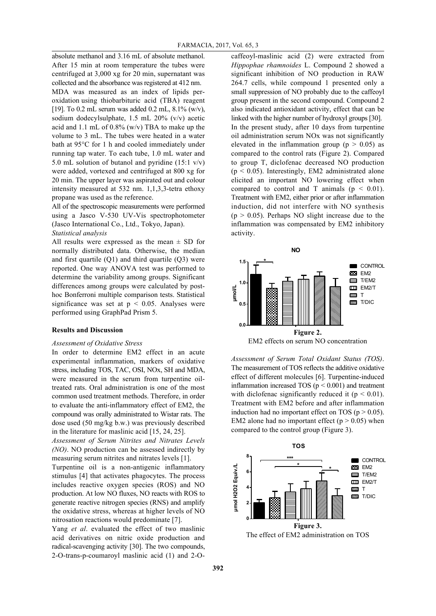absolute methanol and 3.16 mL of absolute methanol. After 15 min at room temperature the tubes were centrifuged at 3,000 xg for 20 min, supernatant was collected and the absorbance was registered at 412 nm.

MDA was measured as an index of lipids peroxidation using thiobarbituric acid (TBA) reagent [19]. To 0.2 mL serum was added 0.2 mL, 8.1% (w/v), sodium dodecylsulphate, 1.5 mL 20% (v/v) acetic acid and 1.1 mL of  $0.8\%$  (w/v) TBA to make up the volume to 3 mL. The tubes were heated in a water bath at 95°C for 1 h and cooled immediately under running tap water. To each tube, 1.0 mL water and 5.0 mL solution of butanol and pyridine (15:1 v/v) were added, vortexed and centrifuged at 800 xg for 20 min. The upper layer was aspirated out and colour intensity measured at 532 nm. 1,1,3,3-tetra ethoxy propane was used as the reference.

All of the spectroscopic measurements were performed using a Jasco V-530 UV-Vis spectrophotometer (Jasco International Co., Ltd., Tokyo, Japan). *Statistical analysis*

All results were expressed as the mean  $\pm$  SD for normally distributed data. Otherwise, the median and first quartile  $(Q1)$  and third quartile  $(Q3)$  were reported. One way ANOVA test was performed to determine the variability among groups. Significant differences among groups were calculated by posthoc Bonferroni multiple comparison tests. Statistical significance was set at  $p < 0.05$ . Analyses were performed using GraphPad Prism 5.

#### **Results and Discussion**

#### *Assessment of Oxidative Stress*

In order to determine EM2 effect in an acute experimental inflammation, markers of oxidative stress, including TOS, TAC, OSI, NOx, SH and MDA, were measured in the serum from turpentine oiltreated rats. Oral administration is one of the most common used treatment methods. Therefore, in order to evaluate the anti-inflammatory effect of EM2, the compound was orally administrated to Wistar rats. The dose used (50 mg/kg b.w.) was previously described in the literature for maslinic acid [15, 24, 25].

*Assessment of Serum Nitrites and Nitrates Levels (NO)*. NO production can be assessed indirectly by measuring serum nitrites and nitrates levels [1].

Turpentine oil is a non-antigenic inflammatory stimulus [4] that activates phagocytes. The process includes reactive oxygen species (ROS) and NO production. At low NO fluxes, NO reacts with ROS to generate reactive nitrogen species (RNS) and amplify the oxidative stress, whereas at higher levels of NO nitrosation reactions would predominate [7].

Yang *et al*. evaluated the effect of two maslinic acid derivatives on nitric oxide production and radical-scavenging activity [30]. The two compounds, 2-O-trans-p-coumaroyl maslinic acid (1) and 2-O-

caffeoyl-maslinic acid (2) were extracted from *Hippophae rhamnoides* L. Compound 2 showed a significant inhibition of NO production in RAW 264.7 cells, while compound 1 presented only a small suppression of NO probably due to the caffeoyl group present in the second compound. Compound 2 also indicated antioxidant activity, effect that can be linked with the higher number of hydroxyl groups [30]. In the present study, after 10 days from turpentine oil administration serum NOx was not significantly elevated in the inflammation group ( $p > 0.05$ ) as compared to the control rats (Figure 2). Compared to group T, diclofenac decreased NO production (p < 0.05). Interestingly, EM2 administrated alone elicited an important NO lowering effect when compared to control and T animals ( $p < 0.01$ ). Treatment with EM2, either prior or after inflammation induction, did not interfere with NO synthesis  $(p > 0.05)$ . Perhaps NO slight increase due to the inflammation was compensated by EM2 inhibitory activity.



*Assessment of Serum Total Oxidant Status (TOS)*. The measurement of TOS reflects the additive oxidative effect of different molecules [6]. Turpentine-induced inflammation increased TOS ( $p < 0.001$ ) and treatment with diclofenac significantly reduced it ( $p < 0.01$ ). Treatment with EM2 before and after inflammation induction had no important effect on TOS ( $p > 0.05$ ). EM2 alone had no important effect ( $p > 0.05$ ) when compared to the control group (Figure 3).



The effect of EM2 administration on TOS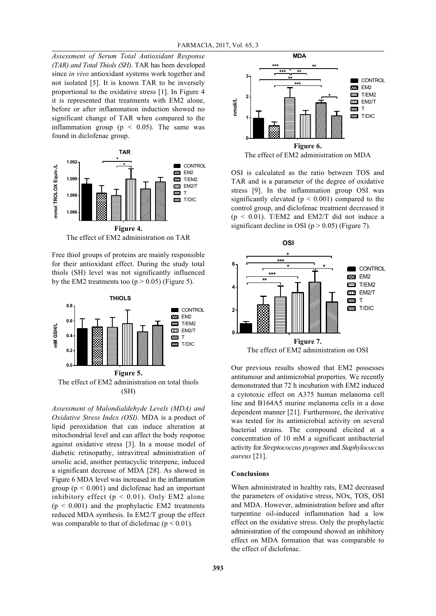*Assessment of Serum Total Antioxidant Response (TAR) and Total Thiols (SH)*. TAR has been developed since *in vivo* antioxidant systems work together and not isolated [5]. It is known TAR to be inversely proportional to the oxidative stress [1]. In Figure 4 it is represented that treatments with EM2 alone, before or after inflammation induction showed no significant change of TAR when compared to the inflammation group ( $p \leq 0.05$ ). The same was found in diclofenac group.



Free thiol groups of proteins are mainly responsible for their antioxidant effect. During the study total thiols (SH) level was not significantly influenced by the EM2 treatments too  $(p > 0.05)$  (Figure 5).



(SH)

*Assessment of Malondialdehyde Levels (MDA) and Oxidative Stress Index (OSI)*. MDA is a product of lipid peroxidation that can induce alteration at mitochondrial level and can affect the body response against oxidative stress [3]. In a mouse model of diabetic retinopathy, intravitreal administration of ursolic acid, another pentacyclic triterpene, induced a significant decrease of MDA [28]. As showed in Figure 6 MDA level was increased in the inflammation group ( $p < 0.001$ ) and diclofenac had an important inhibitory effect ( $p < 0.01$ ). Only EM2 alone  $(p < 0.001)$  and the prophylactic EM2 treatments reduced MDA synthesis. In EM2/T group the effect was comparable to that of diclofenac ( $p < 0.01$ ).



OSI is calculated as the ratio between TOS and TAR and is a parameter of the degree of oxidative stress [9]. In the inflammation group OSI was significantly elevated ( $p \le 0.001$ ) compared to the control group, and diclofenac treatment decreased it  $(p < 0.01)$ . T/EM2 and EM2/T did not induce a significant decline in OSI ( $p > 0.05$ ) (Figure 7).



Our previous results showed that EM2 possesses antitumour and antimicrobial properties. We recently demonstrated that 72 h incubation with EM2 induced a cytotoxic effect on A375 human melanoma cell line and B164A5 murine melanoma cells in a dose dependent manner [21]. Furthermore, the derivative was tested for its antimicrobial activity on several bacterial strains. The compound elicited at a concentration of 10 mM a significant antibacterial activity for *Streptococcus pyogenes* and *Staphylococcus aureus* [21].

#### **Conclusions**

When administrated in healthy rats, EM2 decreased the parameters of oxidative stress, NOx, TOS, OSI and MDA. However, administration before and after turpentine oil-induced inflammation had a low effect on the oxidative stress. Only the prophylactic administration of the compound showed an inhibitory effect on MDA formation that was comparable to the effect of diclofenac.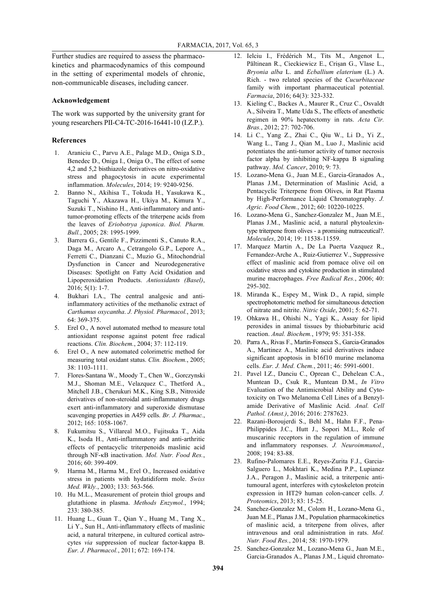Further studies are required to assess the pharmacokinetics and pharmacodynamics of this compound in the setting of experimental models of chronic, non-communicable diseases, including cancer.

# **Acknowledgement**

The work was supported by the university grant for young researchers PII-C4-TC-2016-16441-10 (I.Z.P.).

## **References**

- 1. Araniciu C., Parvu A.E., Palage M.D., Oniga S.D., Benedec D., Oniga I., Oniga O., The effect of some 4,2 and 5,2 bisthiazole derivatives on nitro-oxidative stress and phagocytosis in acute experimental inflammation. *Molecules*, 2014; 19: 9240-9256.
- 2. Banno N., Akihisa T., Tokuda H., Yasukawa K., Taguchi Y., Akazawa H., Ukiya M., Kimura Y., Suzuki T., Nishino H., Anti-inflammatory and antitumor-promoting effects of the triterpene acids from the leaves of *Eriobotrya japonica*. *Biol. Pharm. Bull.*, 2005; 28: 1995-1999.
- 3. Barrera G., Gentile F., Pizzimenti S., Canuto R.A., Daga M., Arcaro A., Cetrangolo G.P., Lepore A., Ferretti C., Dianzani C., Muzio G., Mitochondrial Dysfunction in Cancer and Neurodegenerative Diseases: Spotlight on Fatty Acid Oxidation and Lipoperoxidation Products. *Antioxidants (Basel)*, 2016; 5(1): 1-7.
- 4. Bukhari I.A., The central analgesic and antiinflammatory activities of the methanolic extract of *Carthamus oxycantha*. *J. Physiol. Pharmacol.*, 2013; 64: 369-375.
- 5. Erel O., A novel automated method to measure total antioxidant response against potent free radical reactions. *Clin. Biochem.*, 2004; 37: 112-119.
- 6. Erel O., A new automated colorimetric method for measuring total oxidant status. *Clin. Biochem.*, 2005; 38: 1103-1111.
- 7. Flores-Santana W., Moody T., Chen W., Gorczynski M.J., Shoman M.E., Velazquez C., Thetford A., Mitchell J.B., Cherukuri M.K., King S.B., Nitroxide derivatives of non-steroidal anti-inflammatory drugs exert anti-inflammatory and superoxide dismutase scavenging properties in A459 cells. *Br. J. Pharmac.*, 2012; 165: 1058-1067.
- 8. Fukumitsu S., Villareal M.O., Fujitsuka T., Aida K., Isoda H., Anti-inflammatory and anti-arthritic effects of pentacyclic triterpenoids maslinic acid through NF-κB inactivation. *Mol. Nutr. Food Res.*, 2016; 60: 399-409.
- 9. Harma M., Harma M., Erel O., Increased oxidative stress in patients with hydatidiform mole. *Swiss Med. Wkly.*, 2003; 133: 563-566.
- 10. Hu M.L., Measurement of protein thiol groups and glutathione in plasma. *Methods Enzymol.*, 1994; 233: 380-385.
- 11. Huang L., Guan T., Qian Y., Huang M., Tang X., Li Y., Sun H., Anti-inflammatory effects of maslinic acid, a natural triterpene, in cultured cortical astrocytes *via* suppression of nuclear factor-kappa B. *Eur. J. Pharmacol.*, 2011; 672: 169-174.
- 12. Ielciu I., Frédérich M., Tits M., Angenot L., Păltinean R., Cieckiewicz E., Crișan G., Vlase L., *Bryonia alba* L. and *Ecballium elaterium* (L.) A. Rich. - two related species of the *Cucurbitaceae* family with important pharmaceutical potential. *Farmacia*, 2016; 64(3): 323-332.
- 13. Kieling C., Backes A., Maurer R., Cruz C., Osvaldt A., Silveira T., Matte Uda S., The effects of anesthetic regimen in 90% hepatectomy in rats. *Acta Cir. Bras.*, 2012; 27: 702-706.
- 14. Li C., Yang Z., Zhai C., Qiu W., Li D., Yi Z., Wang L., Tang J., Qian M., Luo J., Maslinic acid potentiates the anti-tumor activity of tumor necrosis factor alpha by inhibiting NF-kappa B signaling pathway. *Mol. Cancer*, 2010; 9: 73.
- 15. Lozano-Mena G., Juan M.E., Garcia-Granados A., Planas J.M., Determination of Maslinic Acid, a Pentacyclic Triterpene from Olives, in Rat Plasma by High-Performance Liquid Chromatography. *J. Agric. Food Chem.*, 2012; 60: 10220-10225.
- 16. Lozano-Mena G., Sanchez-Gonzalez M., Juan M.E., Planas J.M., Maslinic acid, a natural phytoalexintype triterpene from olives - a promising nutraceutical?. *Molecules*, 2014; 19: 11538-11559.
- 17. Marquez Martin A., De La Puerta Vazquez R., Fernandez-Arche A., Ruiz-Gutierrez V., Suppressive effect of maslinic acid from pomace olive oil on oxidative stress and cytokine production in stimulated murine macrophages. *Free Radical Res.*, 2006; 40: 295-302.
- 18. Miranda K., Espey M., Wink D., A rapid, simple spectrophotometric method for simultaneous detection of nitrate and nitrite. *Nitric Oxide*, 2001; 5: 62-71.
- 19. Ohkawa H., Ohishi N., Yagi K., Assay for lipid peroxides in animal tissues by thiobarbituric acid reaction. *Anal. Biochem.*, 1979; 95: 351-358.
- 20. Parra A., Rivas F., Martin-Fonseca S., Garcia-Granados A., Martinez A., Maslinic acid derivatives induce significant apoptosis in b16f10 murine melanoma cells. *Eur. J. Med. Chem.*, 2011; 46: 5991-6001.
- 21. Pavel I.Z., Danciu C., Oprean C., Dehelean C.A., Muntean D., Csuk R., Muntean D.M., *In Vitro* Evaluation of the Antimicrobial Ability and Cytotoxicity on Two Melanoma Cell Lines of a Benzylamide Derivative of Maslinic Acid. *Anal. Cell Pathol. (Amst.)*, 2016; 2016: 2787623.
- 22. Razani-Boroujerdi S., Behl M., Hahn F.F., Pena-Philippides J.C., Hutt J., Sopori M.L., Role of muscarinic receptors in the regulation of immune and inflammatory responses. *J. Neuroimmunol.*, 2008; 194: 83-88.
- 23. Rufino-Palomares E.E., Reyes-Zurita F.J., Garcia-Salguero L., Mokhtari K., Medina P.P., Lupianez J.A., Peragon J., Maslinic acid, a triterpenic antitumoural agent, interferes with cytoskeleton protein expression in HT29 human colon-cancer cells. *J. Proteomics*, 2013; 83: 15-25.
- 24. Sanchez-Gonzalez M., Colom H., Lozano-Mena G., Juan M.E., Planas J.M., Population pharmacokinetics of maslinic acid, a triterpene from olives, after intravenous and oral administration in rats. *Mol. Nutr. Food Res.*, 2014; 58: 1970-1979.
- 25. Sanchez-Gonzalez M., Lozano-Mena G., Juan M.E., Garcia-Granados A., Planas J.M., Liquid chromato-